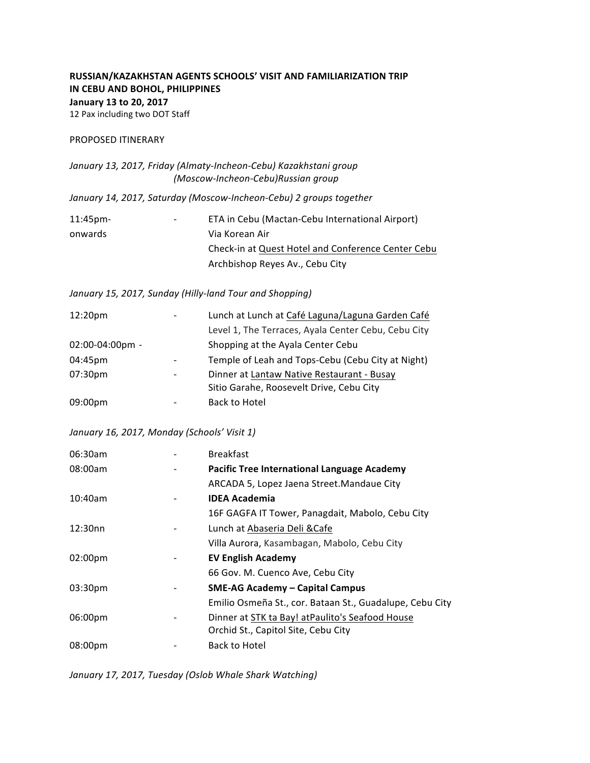# **RUSSIAN/KAZAKHSTAN AGENTS SCHOOLS' VISIT AND FAMILIARIZATION TRIP IN CEBU AND BOHOL, PHILIPPINES January 13 to 20, 2017** 12 Pax including two DOT Staff

#### PROPOSED ITINERARY

January 13, 2017, Friday (Almaty-Incheon-Cebu) Kazakhstani group *(Moscow-Incheon-Cebu)Russian group*

*January 14, 2017, Saturday (Moscow-Incheon-Cebu) 2 groups together*

| $11:45$ pm- | ۰. | ETA in Cebu (Mactan-Cebu International Airport)    |
|-------------|----|----------------------------------------------------|
| onwards     |    | Via Korean Air                                     |
|             |    | Check-in at Quest Hotel and Conference Center Cebu |
|             |    | Archbishop Reyes Av., Cebu City                    |

## January 15, 2017, Sunday (Hilly-land Tour and Shopping)

| 12:20 <sub>pm</sub> | Lunch at Lunch at Café Laguna/Laguna Garden Café    |
|---------------------|-----------------------------------------------------|
|                     | Level 1, The Terraces, Ayala Center Cebu, Cebu City |
| 02:00-04:00pm -     | Shopping at the Ayala Center Cebu                   |
| 04:45pm             | Temple of Leah and Tops-Cebu (Cebu City at Night)   |
| 07:30 <sub>pm</sub> | Dinner at Lantaw Native Restaurant - Busay          |
|                     | Sitio Garahe, Roosevelt Drive, Cebu City            |
| 09:00pm             | Back to Hotel                                       |

### *January 16, 2017, Monday (Schools' Visit 1)*

| <b>Breakfast</b>                                         |
|----------------------------------------------------------|
| <b>Pacific Tree International Language Academy</b>       |
| ARCADA 5, Lopez Jaena Street. Mandaue City               |
| <b>IDEA Academia</b>                                     |
| 16F GAGFA IT Tower, Panagdait, Mabolo, Cebu City         |
| Lunch at Abaseria Deli & Cafe                            |
| Villa Aurora, Kasambagan, Mabolo, Cebu City              |
| <b>EV English Academy</b>                                |
| 66 Gov. M. Cuenco Ave, Cebu City                         |
| <b>SME-AG Academy - Capital Campus</b>                   |
| Emilio Osmeña St., cor. Bataan St., Guadalupe, Cebu City |
| Dinner at STK ta Bay! at Paulito's Seafood House         |
| Orchid St., Capitol Site, Cebu City                      |
| Back to Hotel                                            |
|                                                          |

January 17, 2017, Tuesday (Oslob Whale Shark Watching)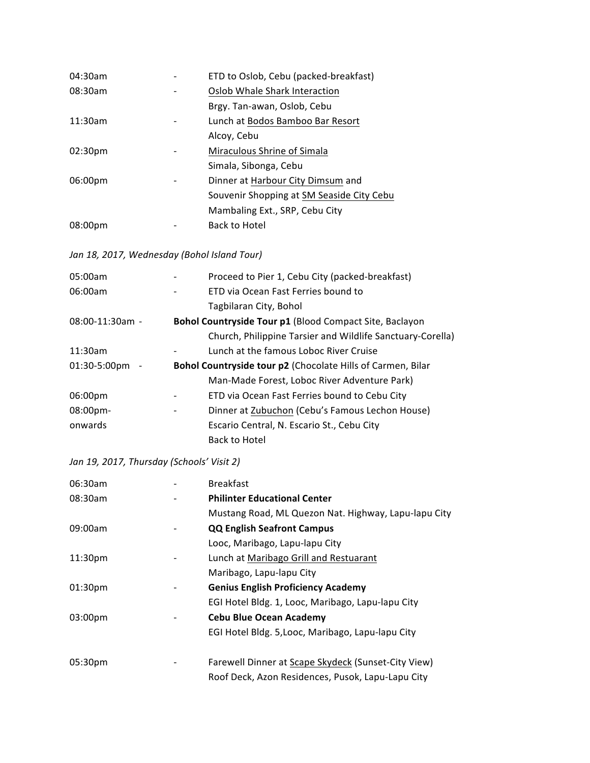| 04:30am             | ETD to Oslob, Cebu (packed-breakfast)     |
|---------------------|-------------------------------------------|
| 08:30am             | Oslob Whale Shark Interaction             |
|                     | Brgy. Tan-awan, Oslob, Cebu               |
| 11:30am             | Lunch at Bodos Bamboo Bar Resort          |
|                     | Alcoy, Cebu                               |
| 02:30 <sub>pm</sub> | Miraculous Shrine of Simala               |
|                     | Simala, Sibonga, Cebu                     |
| 06:00pm             | Dinner at Harbour City Dimsum and         |
|                     | Souvenir Shopping at SM Seaside City Cebu |
|                     | Mambaling Ext., SRP, Cebu City            |
| 08:00pm             | <b>Back to Hotel</b>                      |
|                     |                                           |

Jan 18, 2017, Wednesday (Bohol Island Tour)

| 05:00am                  | Proceed to Pier 1, Cebu City (packed-breakfast)             |
|--------------------------|-------------------------------------------------------------|
| 06:00am                  | ETD via Ocean Fast Ferries bound to                         |
|                          | Tagbilaran City, Bohol                                      |
| $08:00-11:30am -$        | Bohol Countryside Tour p1 (Blood Compact Site, Baclayon     |
|                          | Church, Philippine Tarsier and Wildlife Sanctuary-Corella)  |
| 11:30am                  | Lunch at the famous Loboc River Cruise                      |
| $01:30-5:00 \text{pm}$ - | Bohol Countryside tour p2 (Chocolate Hills of Carmen, Bilar |
|                          | Man-Made Forest, Loboc River Adventure Park)                |
| 06:00pm                  | ETD via Ocean Fast Ferries bound to Cebu City               |
| $08:00$ pm-              | Dinner at Zubuchon (Cebu's Famous Lechon House)             |
| onwards                  | Escario Central, N. Escario St., Cebu City                  |
|                          | <b>Back to Hotel</b>                                        |
|                          |                                                             |

Jan 19, 2017, Thursday (Schools' Visit 2)

| 06:30am             | <b>Breakfast</b>                                     |
|---------------------|------------------------------------------------------|
| 08:30am             | <b>Philinter Educational Center</b>                  |
|                     | Mustang Road, ML Quezon Nat. Highway, Lapu-lapu City |
| 09:00am             | <b>QQ English Seafront Campus</b>                    |
|                     | Looc, Maribago, Lapu-lapu City                       |
| 11:30 <sub>pm</sub> | Lunch at Maribago Grill and Restuarant               |
|                     | Maribago, Lapu-lapu City                             |
| 01:30 <sub>pm</sub> | <b>Genius English Proficiency Academy</b>            |
|                     | EGI Hotel Bldg. 1, Looc, Maribago, Lapu-lapu City    |
| 03:00 <sub>pm</sub> | <b>Cebu Blue Ocean Academy</b>                       |
|                     | EGI Hotel Bldg. 5, Looc, Maribago, Lapu-lapu City    |
| 05:30pm             | Farewell Dinner at Scape Skydeck (Sunset-City View)  |
|                     | Roof Deck, Azon Residences, Pusok, Lapu-Lapu City    |